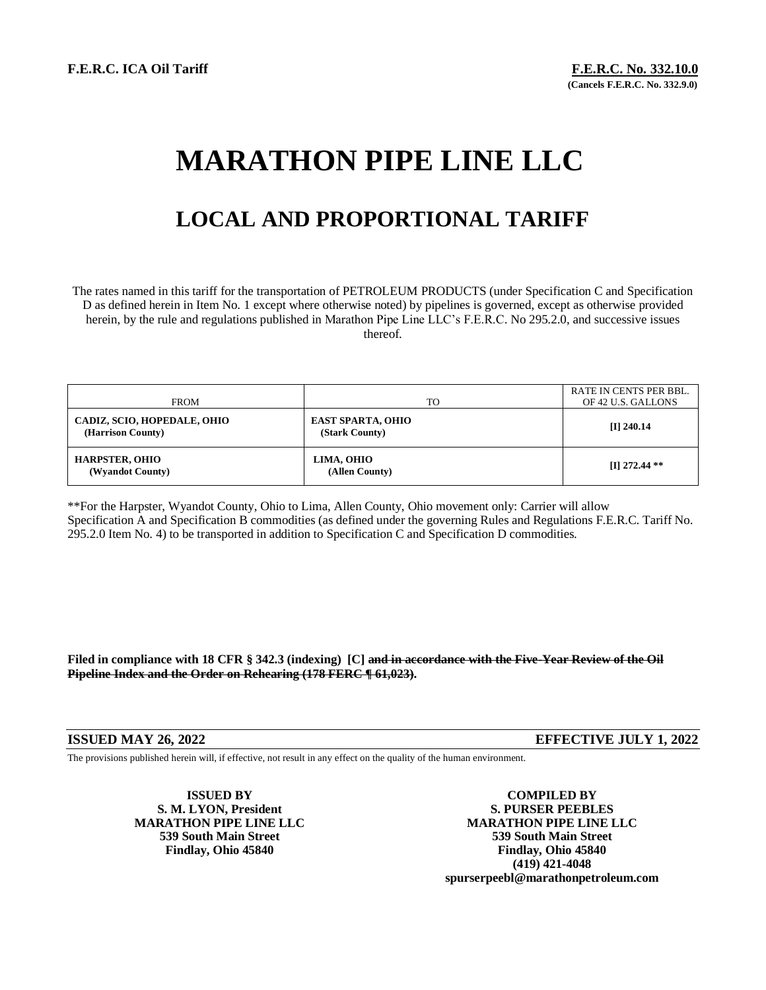# **MARATHON PIPE LINE LLC**

## **LOCAL AND PROPORTIONAL TARIFF**

The rates named in this tariff for the transportation of PETROLEUM PRODUCTS (under Specification C and Specification D as defined herein in Item No. 1 except where otherwise noted) by pipelines is governed, except as otherwise provided herein, by the rule and regulations published in Marathon Pipe Line LLC's F.E.R.C. No 295.2.0, and successive issues thereof.

| <b>FROM</b>                                      | TO <sub>1</sub>                            | RATE IN CENTS PER BBL.<br>OF 42 U.S. GALLONS |
|--------------------------------------------------|--------------------------------------------|----------------------------------------------|
| CADIZ, SCIO, HOPEDALE, OHIO<br>(Harrison County) | <b>EAST SPARTA, OHIO</b><br>(Stark County) | $[I]$ 240.14                                 |
| <b>HARPSTER, OHIO</b><br>(Wyandot County)        | LIMA, OHIO<br>(Allen County)               | $\Pi$ 272.44 **                              |

\*\*For the Harpster, Wyandot County, Ohio to Lima, Allen County, Ohio movement only: Carrier will allow Specification A and Specification B commodities (as defined under the governing Rules and Regulations F.E.R.C. Tariff No. 295.2.0 Item No. 4) to be transported in addition to Specification C and Specification D commodities.

**Filed in compliance with 18 CFR § 342.3 (indexing) [C] and in accordance with the Five-Year Review of the Oil Pipeline Index and the Order on Rehearing (178 FERC ¶ 61,023).**

**ISSUED MAY 26, 2022 EFFECTIVE JULY 1, 2022**

The provisions published herein will, if effective, not result in any effect on the quality of the human environment.

**ISSUED BY COMPILED BY S. M. LYON, President S. PURSER PEEBLES MARATHON PIPE LINE LLC MARATHON PIPE LINE LLC 539 South Main Street 539 South Main Street Findlay, Ohio 45840 Findlay, Ohio 45840 (419) 421-4048 spurserpeebl@marathonpetroleum.com**